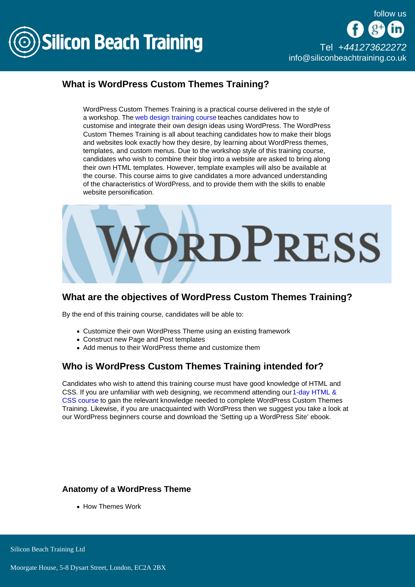

# What is WordPress Custom Themes Training?

WordPress Custom Themes Training is a practical course delivered in the style of a workshop. The [web design training course t](/web-design-training)eaches candidates how to customise and integrate their own design ideas using WordPress. The WordPress Custom Themes Training is all about teaching candidates how to make their blogs and websites look exactly how they desire, by learning about WordPress themes, templates, and custom menus. Due to the workshop style of this training course, candidates who wish to combine their blog into a website are asked to bring along their own HTML templates. However, template examples will also be available at the course. This course aims to give candidates a more advanced understanding of the characteristics of WordPress, and to provide them with the skills to enable website personification.

## What are the objectives of WordPress Custom Themes Training?

By the end of this training course, candidates will be able to:

- Customize their own WordPress Theme using an existing framework
- Construct new Page and Post templates
- Add menus to their WordPress theme and customize them

## Who is WordPress Custom Themes Training intended for?

Candidates who wish to attend this training course must have good knowledge of HTML and CSS. If you are unfamiliar with web designing, we recommend attending our [1-day HTML &](/web-design-training/html-css)  [CSS course](/web-design-training/html-css) to gain the relevant knowledge needed to complete WordPress Custom Themes Training. Likewise, if you are unacquainted with WordPress then we suggest you take a look at our WordPress beginners course and download the 'Setting up a WordPress Site' ebook.

## Anatomy of a WordPress Theme

• How Themes Work